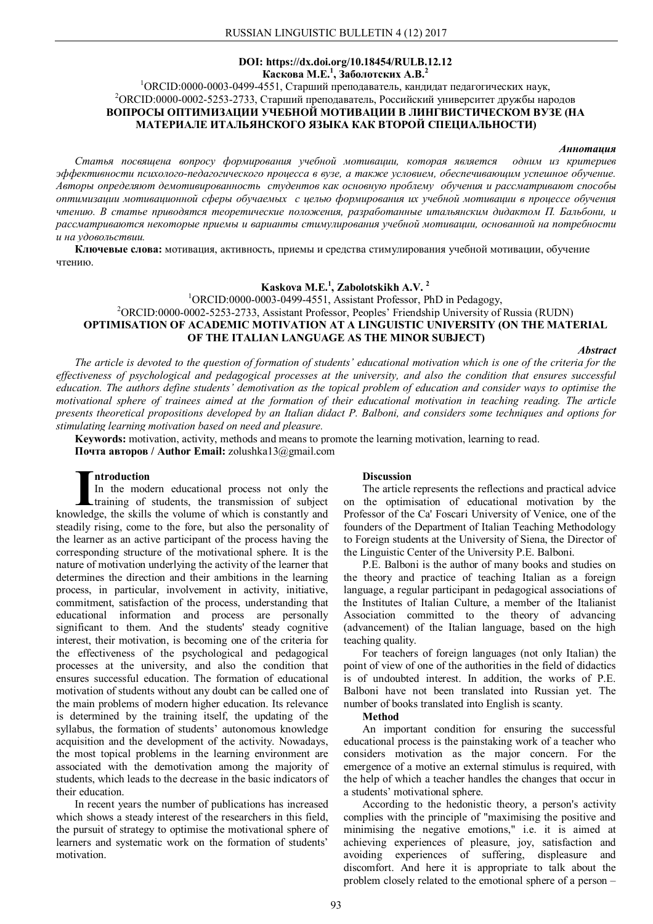# **DOI: https://dx.doi.org/10.18454/RULB.12.12 Каскова М.Е.<sup>1</sup> , Заболотских А.В.<sup>2</sup>**

<sup>1</sup>ORCID:0000-0003-0499-4551, Старший преподаватель, кандидат педагогических наук, <sup>2</sup>ORCID:0000-0002-5253-2733, Старший преподаватель, Российский университет дружбы народов **ВОПРОСЫ ОПТИМИЗАЦИИ УЧЕБНОЙ МОТИВАЦИИ В ЛИНГВИСТИЧЕСКОМ ВУЗЕ (НА МАТЕРИАЛЕ ИТАЛЬЯНСКОГО ЯЗЫКА КАК ВТОРОЙ СПЕЦИАЛЬНОСТИ)**

### *Аннотация*

*Статья посвящена вопросу формирования учебной мотивации, которая является одним из критериев эффективности психолого-педагогического процесса в вузе, а также условием, обеспечивающим успешное обучение. Авторы определяют демотивированность студентов как основную проблему обучения и рассматривают способы оптимизации мотивационной сферы обучаемых с целью формирования их учебной мотивации в процессе обучения чтению. В статье приводятся теоретические положения, разработанные итальянским дидактом П. Бальбони, и рассматриваются некоторые приемы и варианты стимулирования учебной мотивации, основанной на потребности и на удовольствии.*

**Ключевые слова:** мотивация, активность, приемы и средства стимулирования учебной мотивации, обучение чтению.

# **Kaskova M.E.<sup>1</sup> , Zabolotskikh A.V. <sup>2</sup>**

<sup>1</sup>ORCID:0000-0003-0499-4551, Assistant Professor, PhD in Pedagogy, <sup>2</sup>ORCID:0000-0002-5253-2733, Assistant Professor, Peoples' Friendship University of Russia (RUDN) **OPTIMISATION OF ACADEMIC MOTIVATION AT A LINGUISTIC UNIVERSITY (ON THE MATERIAL OF THE ITALIAN LANGUAGE AS THE MINOR SUBJECT)**

*Abstract*

The article is devoted to the question of formation of students' educational motivation which is one of the criteria for the effectiveness of psychological and pedagogical processes at the university, and also the condition that ensures successful education. The authors define students' demotivation as the topical problem of education and consider ways to optimise the motivational sphere of trainees aimed at the formation of their educational motivation in teaching reading. The article presents theoretical propositions developed by an Italian didact P. Balboni, and considers some techniques and options for *stimulating learning motivation based on need and pleasure.*

**Keywords:** motivation, activity, methods and means to promote the learning motivation, learning to read. **Почта авторов / Author Email:** zolushka13@gmail.com

## **ntroduction**

In the modern educational process not only the training of students, the transmission of subject In the modern educational process not only the training of students, the transmission of subject knowledge, the skills the volume of which is constantly and steadily rising, come to the fore, but also the personality of the learner as an active participant of the process having the corresponding structure of the motivational sphere. It is the nature of motivation underlying the activity of the learner that determines the direction and their ambitions in the learning process, in particular, involvement in activity, initiative, commitment, satisfaction of the process, understanding that educational information and process are personally significant to them. And the students' steady cognitive interest, their motivation, is becoming one of the criteria for the effectiveness of the psychological and pedagogical processes at the university, and also the condition that ensures successful education. The formation of educational motivation of students without any doubt can be called one of the main problems of modern higher education. Its relevance is determined by the training itself, the updating of the syllabus, the formation of students' autonomous knowledge acquisition and the development of the activity. Nowadays, the most topical problems in the learning environment are associated with the demotivation among the majority of students, which leads to the decrease in the basic indicators of their education.

In recent years the number of publications has increased which shows a steady interest of the researchers in this field, the pursuit of strategy to optimise the motivational sphere of learners and systematic work on the formation of students' motivation.

#### **Discussion**

The article represents the reflections and practical advice on the optimisation of educational motivation by the Professor of the Ca' Foscari University of Venice, one of the founders of the Department of Italian Teaching Methodology to Foreign students at the University of Siena, the Director of the Linguistic Center of the University P.E. Balboni.

P.E. Balboni is the author of many books and studies on the theory and practice of teaching Italian as a foreign language, a regular participant in pedagogical associations of the Institutes of Italian Culture, a member of the Italianist Association committed to the theory of advancing (advancement) of the Italian language, based on the high teaching quality.

For teachers of foreign languages (not only Italian) the point of view of one of the authorities in the field of didactics is of undoubted interest. In addition, the works of P.E. Balboni have not been translated into Russian yet. The number of books translated into English is scanty.

#### **Method**

An important condition for ensuring the successful educational process is the painstaking work of a teacher who considers motivation as the major concern. For the emergence of a motive an external stimulus is required, with the help of which a teacher handles the changes that occur in a students' motivational sphere.

According to the hedonistic theory, a person's activity complies with the principle of "maximising the positive and minimising the negative emotions," i.e. it is aimed at achieving experiences of pleasure, joy, satisfaction and avoiding experiences of suffering, displeasure and discomfort. And here it is appropriate to talk about the problem closely related to the emotional sphere of a person –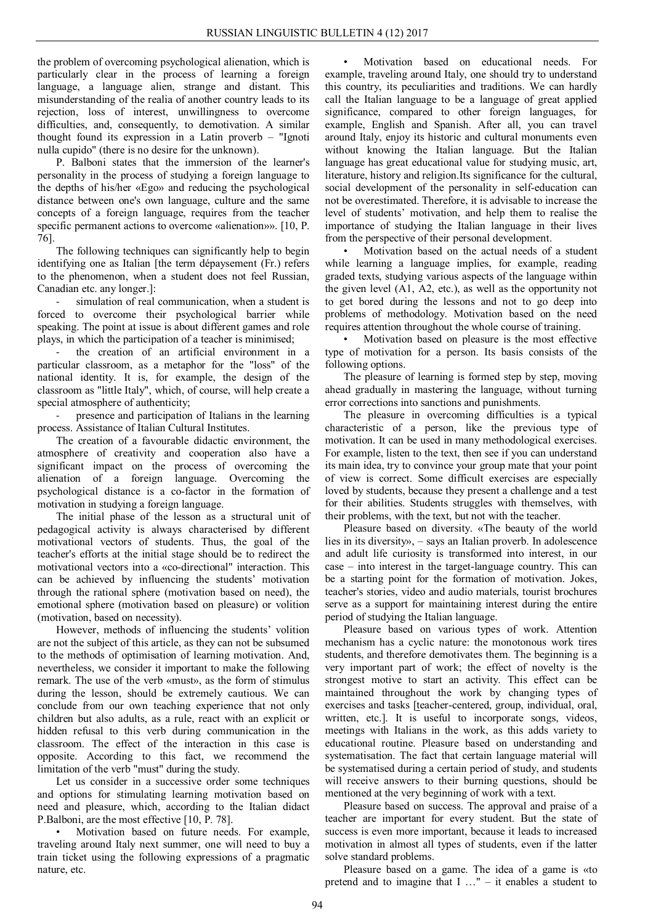the problem of overcoming psychological alienation, which is particularly clear in the process of learning a foreign language, a language alien, strange and distant. This misunderstanding of the realia of another country leads to its rejection, loss of interest, unwillingness to overcome difficulties, and, consequently, to demotivation. A similar thought found its expression in a Latin proverb – "Ignoti nulla cupido" (there is no desire for the unknown).

P. Balboni states that the immersion of the learner's personality in the process of studying a foreign language to the depths of his/her «Ego» and reducing the psychological distance between one's own language, culture and the same concepts of a foreign language, requires from the teacher specific permanent actions to overcome «alienation»». [10, P. 76].

The following techniques can significantly help to begin identifying one as Italian [the term dépaysement (Fr.) refers to the phenomenon, when a student does not feel Russian, Canadian etc. any longer.]:

- simulation of real communication, when a student is forced to overcome their psychological barrier while speaking. The point at issue is about different games and role plays, in which the participation of a teacher is minimised;

the creation of an artificial environment in a particular classroom, as a metaphor for the "loss" of the national identity. It is, for example, the design of the classroom as "little Italy", which, of course, will help create a special atmosphere of authenticity;

- presence and participation of Italians in the learning process. Assistance of Italian Cultural Institutes.

The creation of a favourable didactic environment, the atmosphere of creativity and cooperation also have a significant impact on the process of overcoming the alienation of a foreign language. Overcoming the psychological distance is a co-factor in the formation of motivation in studying a foreign language.

The initial phase of the lesson as a structural unit of pedagogical activity is always characterised by different motivational vectors of students. Thus, the goal of the teacher's efforts at the initial stage should be to redirect the motivational vectors into a «co-directional" interaction. This can be achieved by influencing the students' motivation through the rational sphere (motivation based on need), the emotional sphere (motivation based on pleasure) or volition (motivation, based on necessity).

However, methods of influencing the students' volition are not the subject of this article, as they can not be subsumed to the methods of optimisation of learning motivation. And, nevertheless, we consider it important to make the following remark. The use of the verb «must», as the form of stimulus during the lesson, should be extremely cautious. We can conclude from our own teaching experience that not only children but also adults, as a rule, react with an explicit or hidden refusal to this verb during communication in the classroom. The effect of the interaction in this case is opposite. According to this fact, we recommend the limitation of the verb "must" during the study.

Let us consider in a successive order some techniques and options for stimulating learning motivation based on need and pleasure, which, according to the Italian didact P.Balboni, are the most effective [10, P. 78].

• Motivation based on future needs. For example, traveling around Italy next summer, one will need to buy a train ticket using the following expressions of a pragmatic nature, etc.

• Motivation based on educational needs. For example, traveling around Italy, one should try to understand this country, its peculiarities and traditions. We can hardly call the Italian language to be a language of great applied significance, compared to other foreign languages, for example, English and Spanish. After all, you can travel around Italy, enjoy its historic and cultural monuments even without knowing the Italian language. But the Italian language has great educational value for studying music, art, literature, history and religion.Its significance for the cultural, social development of the personality in self-education can not be overestimated. Therefore, it is advisable to increase the level of students' motivation, and help them to realise the importance of studying the Italian language in their lives from the perspective of their personal development.

Motivation based on the actual needs of a student while learning a language implies, for example, reading graded texts, studying various aspects of the language within the given level (A1, A2, etc.), as well as the opportunity not to get bored during the lessons and not to go deep into problems of methodology. Motivation based on the need requires attention throughout the whole course of training.

• Motivation based on pleasure is the most effective type of motivation for a person. Its basis consists of the following options.

The pleasure of learning is formed step by step, moving ahead gradually in mastering the language, without turning error corrections into sanctions and punishments.

The pleasure in overcoming difficulties is a typical characteristic of a person, like the previous type of motivation. It can be used in many methodological exercises. For example, listen to the text, then see if you can understand its main idea, try to convince your group mate that your point of view is correct. Some difficult exercises are especially loved by students, because they present a challenge and a test for their abilities. Students struggles with themselves, with their problems, with the text, but not with the teacher.

Pleasure based on diversity. «The beauty of the world lies in its diversity», – says an Italian proverb. In adolescence and adult life curiosity is transformed into interest, in our case – into interest in the target-language country. This can be a starting point for the formation of motivation. Jokes, teacher's stories, video and audio materials, tourist brochures serve as a support for maintaining interest during the entire period of studying the Italian language.

Pleasure based on various types of work. Attention mechanism has a cyclic nature: the monotonous work tires students, and therefore demotivates them. The beginning is a very important part of work; the effect of novelty is the strongest motive to start an activity. This effect can be maintained throughout the work by changing types of exercises and tasks [teacher-centered, group, individual, oral, written, etc.]. It is useful to incorporate songs, videos, meetings with Italians in the work, as this adds variety to educational routine. Pleasure based on understanding and systematisation. The fact that certain language material will be systematised during a certain period of study, and students will receive answers to their burning questions, should be mentioned at the very beginning of work with a text.

Pleasure based on success. The approval and praise of a teacher are important for every student. But the state of success is even more important, because it leads to increased motivation in almost all types of students, even if the latter solve standard problems.

Pleasure based on a game. The idea of a game is «to pretend and to imagine that I …" – it enables a student to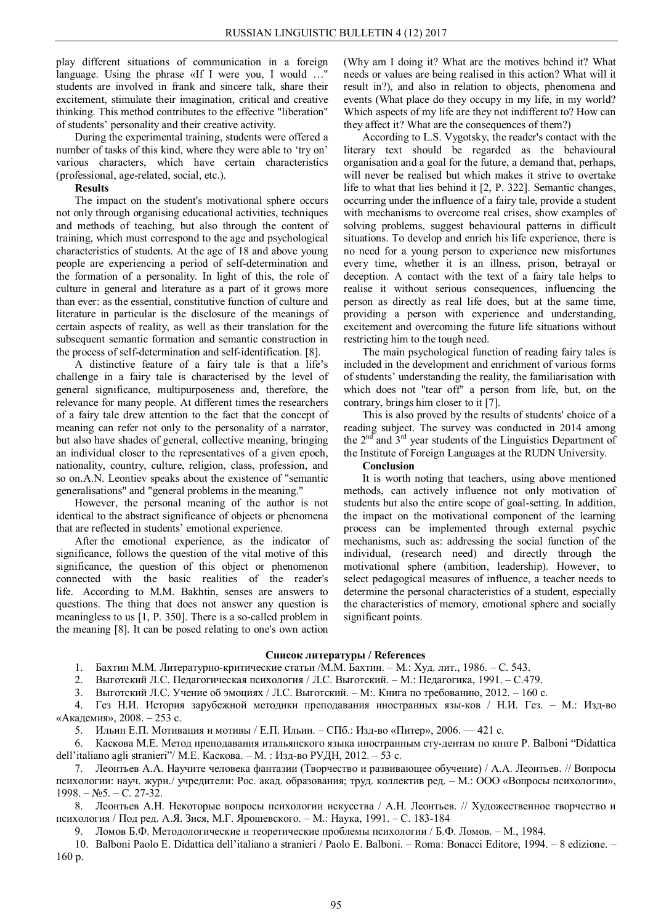play different situations of communication in a foreign language. Using the phrase «If I were you, I would …" students are involved in frank and sincere talk, share their excitement, stimulate their imagination, critical and creative thinking. This method contributes to the effective "liberation" of students' personality and their creative activity.

During the experimental training, students were offered a number of tasks of this kind, where they were able to 'try on' various characters, which have certain characteristics (professional, age-related, social, etc.).

# **Results**

The impact on the student's motivational sphere occurs not only through organising educational activities, techniques and methods of teaching, but also through the content of training, which must correspond to the age and psychological characteristics of students. At the age of 18 and above young people are experiencing a period of self-determination and the formation of a personality. In light of this, the role of culture in general and literature as a part of it grows more than ever: as the essential, constitutive function of culture and literature in particular is the disclosure of the meanings of certain aspects of reality, as well as their translation for the subsequent semantic formation and semantic construction in the process of self-determination and self-identification. [8].

A distinctive feature of a fairy tale is that a life's challenge in a fairy tale is characterised by the level of general significance, multipurposeness and, therefore, the relevance for many people. At different times the researchers of a fairy tale drew attention to the fact that the concept of meaning can refer not only to the personality of a narrator, but also have shades of general, collective meaning, bringing an individual closer to the representatives of a given epoch, nationality, country, culture, religion, class, profession, and so on.A.N. Leontiev speaks about the existence of "semantic generalisations" and "general problems in the meaning."

However, the personal meaning of the author is not identical to the abstract significance of objects or phenomena that are reflected in students' emotional experience.

After the emotional experience, as the indicator of significance, follows the question of the vital motive of this significance, the question of this object or phenomenon connected with the basic realities of the reader's life. According to M.M. Bakhtin, senses are answers to questions. The thing that does not answer any question is meaningless to us [1, P. 350]. There is a so-called problem in the meaning [8]. It can be posed relating to one's own action

(Why am I doing it? What are the motives behind it? What needs or values are being realised in this action? What will it result in?), and also in relation to objects, phenomena and events (What place do they occupy in my life, in my world? Which aspects of my life are they not indifferent to? How can they affect it? What are the consequences of them?)

According to L.S. Vygotsky, the reader's contact with the literary text should be regarded as the behavioural organisation and a goal for the future, a demand that, perhaps, will never be realised but which makes it strive to overtake life to what that lies behind it [2, P. 322]. Semantic changes, occurring under the influence of a fairy tale, provide a student with mechanisms to overcome real crises, show examples of solving problems, suggest behavioural patterns in difficult situations. To develop and enrich his life experience, there is no need for a young person to experience new misfortunes every time, whether it is an illness, prison, betrayal or deception. A contact with the text of a fairy tale helps to realise it without serious consequences, influencing the person as directly as real life does, but at the same time, providing a person with experience and understanding, excitement and overcoming the future life situations without restricting him to the tough need.

The main psychological function of reading fairy tales is included in the development and enrichment of various forms of students' understanding the reality, the familiarisation with which does not "tear off" a person from life, but, on the contrary, brings him closer to it [7].

This is also proved by the results of students' choice of a reading subject. The survey was conducted in 2014 among the  $2<sup>nd</sup>$  and  $3<sup>rd</sup>$  year students of the Linguistics Department of the Institute of Foreign Languages at the RUDN University.

## **Conclusion**

It is worth noting that teachers, using above mentioned methods, can actively influence not only motivation of students but also the entire scope of goal-setting. In addition, the impact on the motivational component of the learning process can be implemented through external psychic mechanisms, such as: addressing the social function of the individual, (research need) and directly through the motivational sphere (ambition, leadership). However, to select pedagogical measures of influence, a teacher needs to determine the personal characteristics of a student, especially the characteristics of memory, emotional sphere and socially significant points.

# **Список литературы / References**

1. Бахтин М.М. Литературно-критические статьи /М.М. Бахтин. – М.: Худ. лит., 1986. – С. 543.

2. Выготский Л.С. Педагогическая психология / Л.С. Выготский. – М.: Педагогика, 1991. – С.479.

3. Выготский Л.С. Учение об эмоциях / Л.С. Выготский. – М:. Книга по требованию, 2012. – 160 с.

4. Гез Н.И. История зарубежной методики преподавания иностранных язы-ков / Н.И. Гез. – М.: Изд-во «Академия», 2008. – 253 с.

5. Ильин Е.П. Мотивация и мотивы / Е.П. Ильин. – СПб.: Изд-во «Питер», 2006. — 421 с.

6. Каскова М.Е. Метод преподавания итальянского языка иностранным сту-дентам по книге P. Balboni "Didattica dell'italiano agli stranieri"/ М.Е. Каскова. – М. : Изд-во РУДН, 2012. – 53 с.

7. Леонтьев А.А. Научите человека фантазии (Творчество и развивающее обучение) / А.А. Леонтьев. // Вопросы психологии: науч. журн./ учредители: Рос. акад. образования; труд. коллектив ред. – М.: ООО «Вопросы психологии», 1998. – №5. – С. 27-32.

8. Леонтьев А.Н. Некоторые вопросы психологии искусства / А.Н. Леонтьев. // Художественное творчество и психология / Под ред. А.Я. Зися, М.Г. Ярошевского. – М.: Наука, 1991. – С. 183-184

9. Ломов Б.Ф. Методологические и теоретические проблемы психологии / Б.Ф. Ломов. – М., 1984.

10. Balboni Paolo E. Didattica dell'italiano a stranieri / Paolo E. Balboni. – Roma: Bonacci Editore, 1994. – 8 edizione. – 160 p.